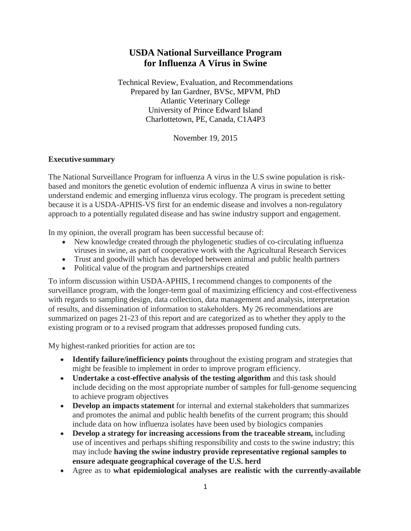## **USDA National Surveillance Program for Influenza A Virus in Swine**

Technical Review, Evaluation, and Recommendations Prepared by Ian Gardner, BVSc, MPVM, PhD Atlantic Veterinary College University of Prince Edward Island Charlottetown, PE, Canada, C1A4P3

November 19, 2015

## **Executive summary**

The National Surveillance Program for influenza A virus in the U.S swine population is riskbased and monitors the genetic evolution of endemic influenza A virus in swine to better understand endemic and emerging influenza virus ecology. The program is precedent setting because it is a USDA-APHIS-VS first for an endemic disease and involves a non-regulatory approach to a potentially regulated disease and has swine industry support and engagement.

In my opinion, the overall program has been successful because of:

- New knowledge created through the phylogenetic studies of co-circulating influenza viruses in swine, as part of cooperative work with the Agricultural Research Services
- Trust and goodwill which has developed between animal and public health partners
- Political value of the program and partnerships created

To inform discussion within USDA-APHIS, I recommend changes to components of the surveillance program, with the longer-term goal of maximizing efficiency and cost-effectiveness with regards to sampling design, data collection, data management and analysis, interpretation of results, and dissemination of information to stakeholders. My 26 recommendations are summarized on pages 21-23 of this report and are categorized as to whether they apply to the existing program or to a revised program that addresses proposed funding cuts.

My highest-ranked priorities for action are to**:**

- **Identify failure/inefficiency points** throughout the existing program and strategies that might be feasible to implement in order to improve program efficiency.
- **Undertake a cost-effective analysis of the testing algorithm** and this task should include deciding on the most appropriate number of samples for full-genome sequencing to achieve program objectives
- **Develop an impacts statement** for internal and external stakeholders that summarizes and promotes the animal and public health benefits of the current program; this should include data on how influenza isolates have been used by biologics companies
- **Develop a strategy for increasing accessions from the traceable stream,** including use of incentives and perhaps shifting responsibility and costs to the swine industry; this may include **having the swine industry provide representative regional samples to ensure adequate geographical coverage of the U.S. herd**
- Agree as to **what epidemiological analyses are realistic with the currently-available**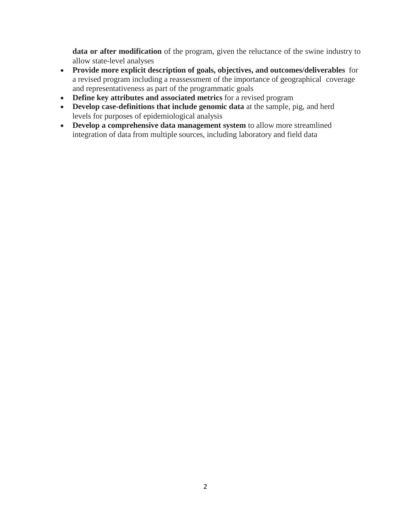**data or after modification** of the program, given the reluctance of the swine industry to allow state-level analyses

- **Provide more explicit description of goals, objectives, and outcomes/deliverables** for a revised program including a reassessment of the importance of geographical coverage and representativeness as part of the programmatic goals
- **Define key attributes and associated metrics** for a revised program
- **Develop case-definitions that include genomic data** at the sample, pig, and herd levels for purposes of epidemiological analysis
- **Develop a comprehensive data management system** to allow more streamlined integration of data from multiple sources, including laboratory and field data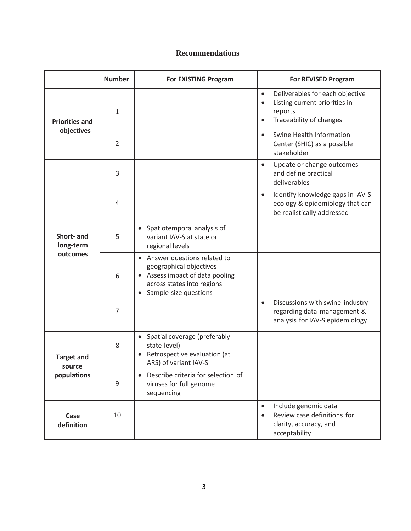## **Recommendations**

|                                            | <b>Number</b>  | <b>For EXISTING Program</b>                                                                                                                        | <b>For REVISED Program</b>                                                                                                                    |
|--------------------------------------------|----------------|----------------------------------------------------------------------------------------------------------------------------------------------------|-----------------------------------------------------------------------------------------------------------------------------------------------|
| <b>Priorities and</b><br>objectives        | $\mathbf{1}$   |                                                                                                                                                    | Deliverables for each objective<br>$\bullet$<br>Listing current priorities in<br>$\bullet$<br>reports<br>Traceability of changes<br>$\bullet$ |
|                                            | $\overline{2}$ |                                                                                                                                                    | Swine Health Information<br>$\bullet$<br>Center (SHIC) as a possible<br>stakeholder                                                           |
| Short- and<br>long-term<br>outcomes        | 3              |                                                                                                                                                    | Update or change outcomes<br>$\bullet$<br>and define practical<br>deliverables                                                                |
|                                            | 4              |                                                                                                                                                    | Identify knowledge gaps in IAV-S<br>$\bullet$<br>ecology & epidemiology that can<br>be realistically addressed                                |
|                                            | 5              | • Spatiotemporal analysis of<br>variant IAV-S at state or<br>regional levels                                                                       |                                                                                                                                               |
|                                            | 6              | • Answer questions related to<br>geographical objectives<br>Assess impact of data pooling<br>across states into regions<br>• Sample-size questions |                                                                                                                                               |
|                                            | $\overline{7}$ |                                                                                                                                                    | Discussions with swine industry<br>$\bullet$<br>regarding data management &<br>analysis for IAV-S epidemiology                                |
| <b>Target and</b><br>source<br>populations | 8              | • Spatial coverage (preferably<br>state-level)<br>Retrospective evaluation (at<br>ARS) of variant IAV-S                                            |                                                                                                                                               |
|                                            | 9              | Describe criteria for selection of<br>viruses for full genome<br>sequencing                                                                        |                                                                                                                                               |
| Case<br>definition                         | 10             |                                                                                                                                                    | Include genomic data<br>$\bullet$<br>Review case definitions for<br>$\bullet$<br>clarity, accuracy, and<br>acceptability                      |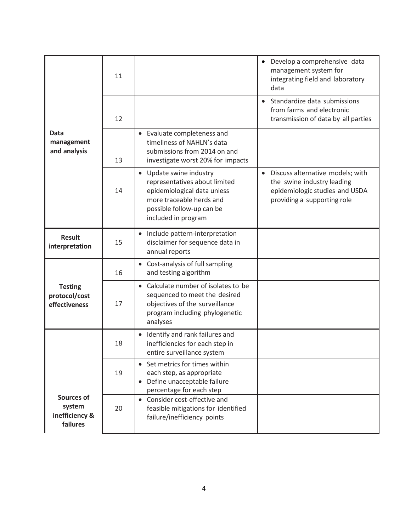|                                                    | 11 |                                                                                                                                                                                    | • Develop a comprehensive data<br>management system for<br>integrating field and laboratory<br>data                                          |
|----------------------------------------------------|----|------------------------------------------------------------------------------------------------------------------------------------------------------------------------------------|----------------------------------------------------------------------------------------------------------------------------------------------|
| <b>Data</b><br>management<br>and analysis          | 12 |                                                                                                                                                                                    | Standardize data submissions<br>$\bullet$<br>from farms and electronic<br>transmission of data by all parties                                |
|                                                    | 13 | • Evaluate completeness and<br>timeliness of NAHLN's data<br>submissions from 2014 on and<br>investigate worst 20% for impacts                                                     |                                                                                                                                              |
|                                                    | 14 | Update swine industry<br>$\bullet$<br>representatives about limited<br>epidemiological data unless<br>more traceable herds and<br>possible follow-up can be<br>included in program | Discuss alternative models; with<br>$\bullet$<br>the swine industry leading<br>epidemiologic studies and USDA<br>providing a supporting role |
| <b>Result</b><br>interpretation                    | 15 | Include pattern-interpretation<br>disclaimer for sequence data in<br>annual reports                                                                                                |                                                                                                                                              |
|                                                    | 16 | • Cost-analysis of full sampling<br>and testing algorithm                                                                                                                          |                                                                                                                                              |
| <b>Testing</b><br>protocol/cost<br>effectiveness   | 17 | Calculate number of isolates to be<br>$\bullet$<br>sequenced to meet the desired<br>objectives of the surveillance<br>program including phylogenetic<br>analyses                   |                                                                                                                                              |
|                                                    | 18 | Identify and rank failures and<br>$\bullet$<br>inefficiencies for each step in<br>entire surveillance system                                                                       |                                                                                                                                              |
|                                                    | 19 | • Set metrics for times within<br>each step, as appropriate<br>Define unacceptable failure<br>$\bullet$<br>percentage for each step                                                |                                                                                                                                              |
| Sources of<br>system<br>inefficiency &<br>failures | 20 | • Consider cost-effective and<br>feasible mitigations for identified<br>failure/inefficiency points                                                                                |                                                                                                                                              |